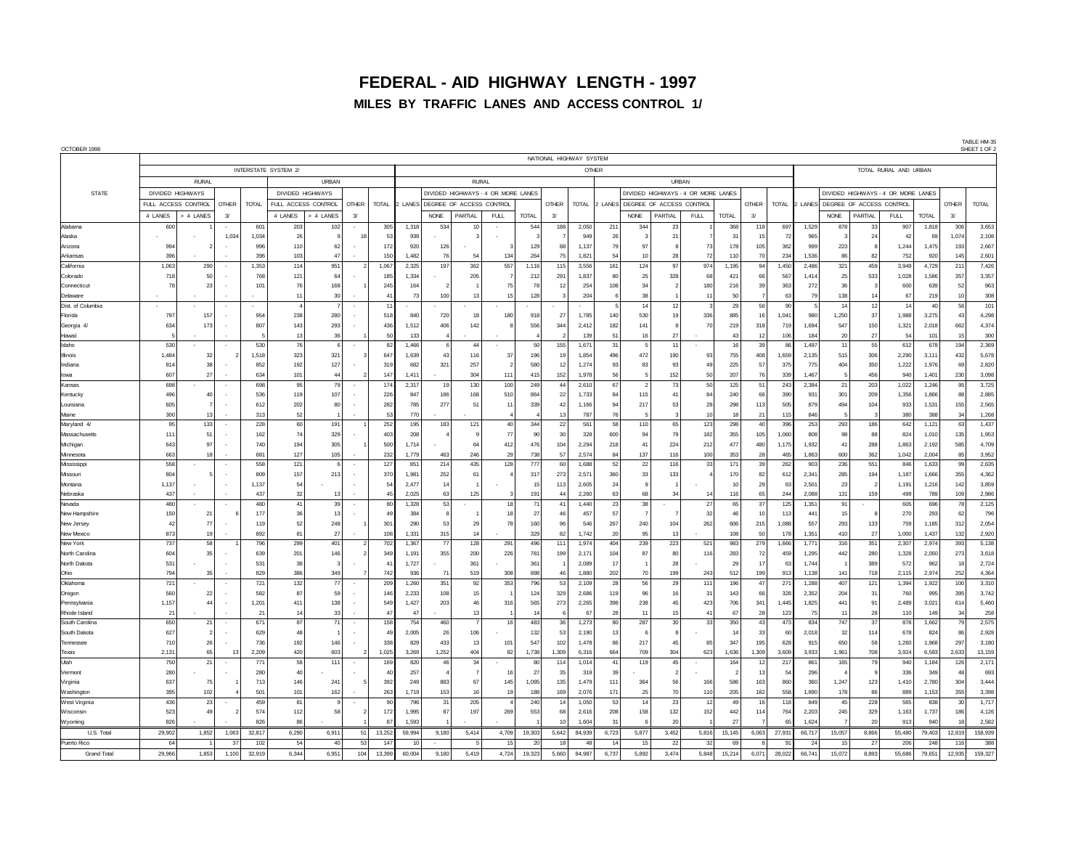## **FEDERAL - AID HIGHWAY LENGTH - 1997 MILES BY TRAFFIC LANES AND ACCESS CONTROL 1/**

| OCTOBER 1998                 |                              |           |       |                     |                |                       |                |              |                                    |                                  |                |             |              |                |                |                                    |                                  |           |             |                       |                |                                    |                |                                        |            |                 |                 |                | IMPLE FIVES<br>SHEET 1 OF: |
|------------------------------|------------------------------|-----------|-------|---------------------|----------------|-----------------------|----------------|--------------|------------------------------------|----------------------------------|----------------|-------------|--------------|----------------|----------------|------------------------------------|----------------------------------|-----------|-------------|-----------------------|----------------|------------------------------------|----------------|----------------------------------------|------------|-----------------|-----------------|----------------|----------------------------|
|                              | NATIONAL HIGHWAY SYSTEM      |           |       |                     |                |                       |                |              |                                    |                                  |                |             |              |                |                |                                    |                                  |           |             |                       |                |                                    |                |                                        |            |                 |                 |                |                            |
|                              |                              |           |       |                     |                | INTERSTATE SYSTEM 2/  |                |              |                                    | OTHER                            |                |             |              |                |                |                                    |                                  |           |             | TOTAL RURAL AND URBAN |                |                                    |                |                                        |            |                 |                 |                |                            |
|                              | <b>RURAL</b>                 |           |       |                     | <b>URBAN</b>   |                       |                | <b>RURAL</b> |                                    |                                  |                |             |              |                | <b>URBAN</b>   |                                    |                                  |           |             |                       |                |                                    |                |                                        |            |                 |                 |                |                            |
| <b>STATE</b>                 | DIVIDED HIGHWAYS             |           |       | DIVIDED HIGHWAYS    |                |                       |                |              | DIVIDED HIGHWAYS - 4 OR MORE LANES |                                  |                |             |              |                |                | DIVIDED HIGHWAYS - 4 OR MORE LANES |                                  |           |             |                       |                | DIVIDED HIGHWAYS - 4 OR MORE LANES |                |                                        |            |                 |                 |                |                            |
|                              | FULL ACCESS CONTROL<br>OTHER |           | TOTAL | FULL ACCESS CONTROL |                | <b>OTHER</b>          | TOTAL          |              |                                    | 2 LANES DEGREE OF ACCESS CONTROL |                |             | <b>OTHER</b> | TOTAL          |                |                                    | 2 LANES DEGREE OF ACCESS CONTROL |           |             | <b>OTHER</b>          |                |                                    |                | TOTAL 2 LANES DEGREE OF ACCESS CONTROL |            |                 | <b>OTHER</b>    | <b>TOTAL</b>   |                            |
|                              | 4 LANES                      | > 4 LANES | $3/$  |                     | 4 LANES        | 4 LANES               | $\overline{3}$ |              |                                    | <b>NONE</b>                      | PARTIAL        | <b>FULL</b> | <b>TOTAL</b> | $\overline{3}$ |                |                                    | <b>NONE</b>                      | PARTIAL   | <b>FULL</b> | <b>TOTAL</b>          | $\mathcal{A}$  |                                    |                | <b>NONE</b>                            | PARTIAL    | <b>FULL</b>     | <b>TOTAL</b>    | $\overline{3}$ |                            |
| Alabama                      | 600                          |           |       | 601                 | 203            | 102                   |                | 305          | 1,318                              | 534                              | 10             |             | 544          | 188            | 2,050          | 21                                 | 34 <sub>4</sub>                  | 2:        |             | 368                   | 118            | 697                                | 1,529          | 878                                    | 33         | 907             | 1,818           | 306            | 3,653                      |
| Alaska                       |                              |           | 1,03  | 1,034               | $\overline{2}$ |                       |                | 53           | 939                                |                                  |                |             |              |                | 949            |                                    |                                  | 21        |             | 31                    | 15             | 72                                 | 965            |                                        | 24         |                 | 69              | 1,074          | 2,108                      |
| Arizona                      | 994                          |           |       | 996                 | 110            | 61                    |                | 172          | 920                                | 126                              |                |             | 129          | 88             | 1,137          | 79                                 | Q <sub>1</sub>                   |           | 73          | 178                   | 105            | 362                                | 999            | 223                                    |            | 1,244           | 1,475           | 193            | 2,667                      |
| Arkansas                     | 396                          |           |       | 396                 | 103            | 47                    |                | 150          | 1.482                              | 76                               | 54             | 134         | 264          | 75             | 1,821          | 54                                 | 10                               | 28        | 72          | 110                   | 70             | 234                                | 1,536          | 86                                     | 82         | 752             | 920             | 145            | 2,601                      |
| California                   | 1,063<br>718                 | 290<br>50 |       | 1,353<br>768        | 114<br>121     | 951<br>6 <sub>1</sub> |                | 1,067<br>185 | 2,325<br>1,334                     | 197                              | 362<br>205     | 557         | 1,116<br>212 | 115<br>291     | 3,556<br>1,837 | 161                                | 124<br>25                        | 97<br>328 | 974<br>68   | 1,195<br>421          | 94<br>66       | 1,450<br>567                       | 2,486<br>1,414 | 321<br>25                              | 459<br>533 | 3,949<br>1,028  | 4,729<br>1,586  | 21<br>357      | 7,426                      |
| Colorado<br>Connecticut      | 78                           | 23        |       | 10 <sup>1</sup>     | 76             | 168                   |                | 245          | 164                                |                                  |                | 75          | 78           | 12             | 254            | 80<br>108                          | $\overline{\mathbf{3}}$          |           | 180         | 216                   | 39             | 363                                | 272            | 36                                     |            | 600             | 639             | 52             | 3,357<br>963               |
| Delaware                     |                              |           |       |                     | 11             | 30                    |                | 41           | 73                                 | 100                              | 13             | 15          | 128          | -3             | 204            | 6                                  | 38                               |           | 11          | 50                    | $\overline{7}$ | 63                                 | 79             | 138                                    | 14         | 67              | 219             | 10             | 308                        |
| Dist. of Columbia            | $\sim$                       |           |       |                     |                |                       |                | 11           |                                    |                                  |                |             |              |                |                | $\overline{a}$                     | 14                               | 12        | 3           | 29                    | 56             | 90                                 | -5             | 14                                     | 12         | 14              | 40              | 56             | 101                        |
| Florida                      | 797                          | 157       |       | 954                 | 238            | 280                   |                | 518          | 840                                | 720                              | 18             | 180         | 918          | 27             | 1,785          | 140                                | 530                              | 19        | 336         | 885                   | 16             | 1.041                              | 980            | 1,250                                  | 37         | 1,988           | 3,275           | 43             | 4,298                      |
| Georgia 4                    | 634                          | 173       |       | 807                 | 143            | 293                   |                | 436          | 1,512                              | 406                              | 142            |             | 556          | 344            | 2,412          | 182                                | 141                              |           | 70          | 219                   | 318            | 719                                | 1,694          | 547                                    | 150        | 1,321           | 2,018           | 662            | 4,374                      |
| Hawaii                       |                              |           |       |                     | 13             | 3 <sub>6</sub>        |                | 50           | 133                                |                                  |                |             |              |                | 139            | 5'                                 | 10                               | 27        |             | 43                    | 12             | 106                                | 184            | 20                                     | 27         |                 | 10 <sup>1</sup> |                | 300                        |
| Idaho                        | 530                          |           |       | 530                 | 76             |                       |                | 82           | 1.466                              | 6                                | 44             |             | 50           | 155            | 1,671          | 31                                 |                                  | 11        |             | 16                    | 39             | 86                                 | 1,497          | 11                                     | 55         | 612             | 678             | 194            | 2,369                      |
| Illinois                     | 1,484                        | 32        |       | 1,518               | 323            | 321                   |                | 647          | 1.639                              | 43                               | 116            | 37          | 196          | 19             | 1,854          | 496                                | 472                              | 190       | <b>Q3</b>   | 755                   | 408            | 1,659                              | 2,135          | 515                                    | 306        | 2,290           | 3.11            | 432            | 5,678                      |
| Indiana                      | 814                          | 38        |       | 852                 | 192            | 127                   |                | 319          | 682                                | 321                              | 257            |             | 580          | 12             | 1.274          | 93                                 | R <sup>2</sup>                   | 93        | 49          | 225                   | 57             | 375                                | 775            | 404                                    | 350        | 1.222           | 1.976           | 69             | 2,820                      |
| lowa                         | 607                          | 27        |       | 634                 | 101<br>95      | 44<br>79              |                | 147          | 1.41                               | 19                               | 304            | 111         | 415          | 152<br>44      | 1.978          | 56<br>67                           |                                  | 152       | 50          | 207                   | 76<br>51       | 339                                | 1.467          | 5                                      | 456        | $Q_{\text{dS}}$ | 1.401           | 230            | 3.098                      |
| Kansas<br>Kentucky           | 698<br>496                   | 40        |       | 698<br>536          | 119            | 107                   |                | 174<br>226   | 2,31<br>847                        | 186                              | 130<br>168     | 100<br>510  | 249<br>864   | 22             | 2,610<br>1,733 | 84                                 | 115                              | 73<br>41  | 50<br>84    | 125<br>240            | 66             | 243<br>390                         | 2,384<br>931   | 21<br>301                              | 203<br>209 | 1,022<br>1,356  | 1,246<br>1,866  | 95<br>88       | 3,725<br>2,885             |
| I ouisiana                   | 605                          |           |       | 612                 | 202            | 8                     |                | 282          | 785                                | 277                              | 51             | 11          | 339          | 42             | 1,166          | $Q_{d}$                            | 217                              | 53        | 28          | 298                   | 113            | 505                                | 879            | 494                                    | 104        | 933             | 1,531           | 155            | 2,565                      |
| Maine                        | 300                          | 13        |       | 313                 | 52             |                       |                | 53           | 770                                |                                  |                |             |              | 13             | 787            | 76                                 |                                  |           |             | 18                    | 21             | 115                                | 846            |                                        |            | 380             | 388             | 34             | 1,268                      |
| Maryland 4/                  | 95                           | 133       |       | 228                 | 60             | 191                   |                | 252          | 195                                | 183                              | 121            | 40          | 344          | 22             | 56'            | 58                                 | 110                              | 65        | 123         | 298                   | 40             | 396                                | 253            | 293                                    | 186        | 643             | 1.121           | 63             | 1,437                      |
| Massachusetts                | 111                          | 51        |       | 162                 | 74             | 329                   |                | 403          | 208                                |                                  |                | 77          | 90           | 30             | 328            | 600                                | $\mathbf{Q}_i$                   | 79        | 182         | 355                   | 105            | 1,060                              | 808            | 98                                     | 88         | 824             | 1,010           | 135            | 1,953                      |
| Michigan                     | 643                          | 97        |       | 740                 | 194            | 305                   |                | 500          | 1,714                              |                                  | 64             | 412         | 476          | 104            | 2,294          | 218                                | $\overline{4}$                   | 224       | 212         | 477                   | 480            | 1,175                              | 1,932          | 41                                     | 288        | 1,863           | 2,192           | 585            | 4,709                      |
| Minnesota                    | 663                          | 18        |       | 681                 | 127            | 105                   |                | 232          | 1,779                              | 463                              | 246            | 29          | 738          | 57             | 2,574          | $\mathcal{B}$                      | 137                              | 116       | 100         | 353                   | 28             | 465                                | 1,863          | 600                                    | 362        | 1,042           | 2,004           | 85             | 3,952                      |
| Mississippi                  | 558                          |           |       | 558                 | 121            |                       |                | 127          | 85                                 | 214                              | 435            | 128         | 777          | 60             | 1,688          | 52                                 | $\overline{2}$                   | 116       | 33          | 171                   | 39             | 262                                | 903            | 236                                    | 551        | 84              | 1,633           | 99             | 2,635                      |
| Missouri                     | 804                          |           |       | 809                 | 157            | 213                   |                | 370          | 1.98                               | 252                              | 61             |             | 317          | 273            | 2,57'          | 360                                | -32                              | 133       |             | 170                   | 82             | 612                                | 2.341          | 285                                    | 194        | 1.187           | 1,666           | 355            | 4,362                      |
| Montana                      | 1,137                        |           |       | 1,137               | 54             |                       |                | 54           | 2,477                              | 14                               |                |             | 15           | 113            | 2,605          | 24                                 |                                  |           |             | 10                    | 29             | 63                                 | 2,501          | 23                                     |            | 1,191           | 1,216           | 142            | 3,859                      |
| Nebraska                     | 437<br>480                   |           |       | 437<br>480          | 32<br>41       | 12<br>39              |                | 45<br>80     | 2,025<br>1,328                     | 63<br>53                         | 125            | 18          | 191<br>71    | 44<br>41       | 2,260<br>1,440 | 63<br>23                           | 68<br>36                         | 34        | 14<br>27    | 116<br>65             | 65<br>37       | 244<br>125                         | 2,088<br>1,351 | 131<br>91                              | 159        | 499<br>605      | 789<br>696      | 109<br>78      | 2,986<br>2,125             |
| Nevada<br>New Hampshire      | 150                          | 21        |       | 177                 | $\overline{3}$ | 11                    |                | 49           | 384                                |                                  |                | 18          | 27           | 46             | 457            | 57                                 |                                  |           | 32          | 46                    | 10             | 113                                | 441            | 15                                     |            | 270             | 293             | 62             | 796                        |
| New Jersey                   | 42                           | 77        |       | 119                 | 52             | 248                   |                | 301          | 290                                | 53                               | 29             | 78          | 160          | 96             | 546            | 267                                | 240                              | 104       | 262         | 606                   | 215            | 1,088                              | 557            | 293                                    | 133        | <b>759</b>      | 1.185           | 312            | 2,054                      |
| New Mexico                   | 873                          | 19        |       | 892                 | 81             | $\overline{2}$        |                | 108          | 1.331                              | 315                              | 14             |             | 329          | 82             | 1,742          | 20                                 | 95                               | 13        |             | 108                   | 50             | 178                                | 1,351          | 410                                    | 27         | 1.000           | 1.437           | 132            | 2,920                      |
| New York                     | 737                          | 58        |       | 796                 | 299            | 401                   |                | 702          | 1,367                              | 77                               | 128            | 291         | 496          | 111            | 1,974          | 404                                | 239                              | 223       | 521         | 983                   | 279            | 1,666                              | 1,771          | 316                                    | 351        | 2,30            | 2,974           | 393            | 5,138                      |
| North Carolina               | 604                          | 35        |       | 639                 | 201            | 146                   |                | 349          | 1,191                              | 355                              | 200            | 226         | 781          | 199            | 2,17'          | 10 <sub>1</sub>                    | 8                                | 80        | 116         | 283                   | 72             | 459                                | 1,295          | 442                                    | 280        | 1,328           | 2,050           | 273            | 3,618                      |
| North Dakota                 | 531                          |           |       | 531                 | 38             |                       |                | 41           | 1,727                              |                                  | 361            |             | 361          |                | 2,089          | 17                                 |                                  | 26        |             | 29                    | 17             | 63                                 | 1,744          |                                        | 389        | 572             | 962             | 18             | 2,724                      |
| Ohio                         | 794                          | 35        | ÷.    | 829                 | 386            | 349                   |                | 742          | 936                                | 71                               | 519            | 308         | 898          | 46             | 1.880          | 202                                | $\overline{7}$                   | 199       | 243         | 512                   | 199            | 913                                | 1,138          | 141                                    | 718        | 2.11!           | 2.974           | 252            | 4,364                      |
| Oklahoma                     | 721                          |           |       | 721                 | 132            | $\overline{r}$        |                | 209          | 1.260                              | 351                              | 92             | 353         | 796          | 53             | 2.109          | 28                                 | 56                               | 25        | 111         | 196                   | 47             | 271                                | 1.288          | 407                                    | 121        | 1.394           | 1.922           | 100            | 3,310                      |
| Oregon                       | 560                          | 22        |       | 582                 | 8              | 59                    |                | 146          | 2.233                              | 108                              | 15             |             | 124          | 329            | 2.686          | 119                                | $\alpha$                         | 16        | 31          | 143                   | 66             | 328                                | 2,352          | 204                                    | 31         | 760             | 995             | 395            | 3,742                      |
| Pennsylvania<br>Rhode Island | 1,157<br>21                  | 44        | ٠     | 1,201<br>21         | 411<br>14      | 138<br>33             |                | 549<br>47    | 1,427<br>$\Delta$ 7                | 203                              | 46<br>13       | 316         | 565<br>14    | 273            | 2,265<br>67    | 398<br>28                          | 238<br>11                        | 45<br>15  | 423<br>41   | 706<br>67             | 341<br>28      | 1,445<br>123                       | 1,825<br>75    | 441<br>11                              | 91<br>28   | 2,489<br>110    | 3,021<br>149    | 614<br>34      | 5,460<br>258               |
| South Carolina               | 650                          | 21        |       | 671                 | 87             | $\overline{7}$        |                | 158          | 754                                | 460                              | $\overline{7}$ | 16          | 483          | 36             | 1,273          | 80                                 | 287                              | 30        | 33          | 350                   | 43             | 473                                | 834            | 747                                    | 37         | 878             | 1,662           | 79             | 2,575                      |
| South Dakota                 | 627                          |           |       | 629                 | 41             |                       |                | 49           | 2.005                              | 26                               | 106            |             | 132          | 53             | 2,190          | 13                                 |                                  |           |             | 14                    | 33             | 60                                 | 2,018          | 32                                     | 114        | 678             | 824             | 8f             | 2,928                      |
| Tennessee                    | 710                          | 26        |       | 736                 | 192            | 140                   |                | 338          | 829                                | 433                              | 13             | 101         | 547          | 102            | 1,478          | 86                                 | 217                              | 45        | 85          | 347                   | 195            | 628                                | 915            | 650                                    | 58         | 1,260           | 1.968           | 297            | 3,180                      |
| Texas                        | 2,131                        | 65        | 13    | 2,209               | 420            | 603                   |                | 1,025        | 3,269                              | 1,252                            | 404            | 82          | 1,738        | 1,309          | 6,316          | 664                                | 709                              | 304       | 623         | 1,636                 | 1,309          | 3,609                              | 3,933          | 1,961                                  | 708        | 3,924           | 6,593           | 2,633          | 13,159                     |
| Utah                         | 750                          | 21        |       | 771                 | 58             | 111                   |                | 169          | 820                                | 46                               | 34             |             | 80           | 114            | 1,014          | 41                                 | 119                              | 45        |             | 164                   | 12             | 217                                | 861            | 165                                    | 79         | 94              | 1,184           | 126            | 2,171                      |
| Vermont                      | 280                          |           |       | 280                 | $\mathbf{A}$   |                       |                | $\Delta f$   | 257                                |                                  |                | 16          | 27           | 35             | 319            | 39                                 |                                  |           |             |                       | 13             | 54                                 | 296            |                                        |            | 336             | 349             | $\Delta$       | 693                        |
| Virginia                     | 637                          | 75        |       | 713                 | 146            | 241                   |                | 392          | 249                                | 883                              | 67             | 145         | 1,095        | 135            | 1.479          | 111                                | 364                              | 56        | 166         | 586                   | 163            | 860                                | 360            | 1.247                                  | 123        | 1.410           | 2.780           | 304            | 3,444                      |
| Washington                   | 395                          | 102       |       | 501                 | 101            | 162                   |                | 263          | 1.719                              | 153                              | 16             | 19          | 188          | 169            | 2,076          | 171                                | 25                               | 70        | 110         | 205                   | 182            | 558                                | 1,890          | 178                                    | 86         | 889             | 1,153           | 355            | 3,398                      |
| <b>West Virginia</b>         | 436                          | 23        |       | 459                 | 8              |                       |                | 90           | 796                                | 31                               | 205            |             | 240          | 14             | 1,050          | 53                                 | 14                               | 23        | 12          | 49                    | 16             | 118                                | 849            | 45                                     | 228        | 565             | 838             | 30             | 1,717                      |
| Wisconsin                    | 523                          | 49        |       | 574                 | 112            | 51                    |                | 172          | 1,995                              | 87                               | 197            | 269         | 553          | 68             | 2,616          | 208                                | 158                              | 132       | 152         | 442                   | 114            | 764                                | 2,203          | 245                                    | 329        | 1,163           | 1,737           | 186            | 4,126                      |
| Wyoming                      | 826                          |           |       | 826                 | 8              |                       |                | 87           | 1.59                               |                                  |                |             |              | 10             | 1,604          | $\mathcal{B}$                      |                                  | 20        |             | 27                    |                | 65                                 | 1,624          |                                        | 20         | 913             | 940             |                | 2,582                      |
| U.S. Total                   | 29,902                       | 1.852     | 1.063 | 32,817              | 6,290          | 6,91                  | -51            | 13.252       | 59.994                             | 9.180                            | 5,414          | 4,709       | 19,303       | 5,642          | 84.939         | 6.723                              | 5,877                            | 3,452     | 5.816       | 15.145                | 6.063          | 27,931                             | 66.717         | 15,057                                 | 8.866      | 55,480          | 79.403          | 12,819         | 158,939                    |
| Puerto Rico                  | 64                           |           | 37    | 102                 | 54             | 40                    | 53             | 147          | 10                                 |                                  | 5              | 15          | 20           | 18             | 48             | -14                                | 15                               | 22        | 32          | 69                    |                | 91                                 | 24             | 15                                     | 27         | 206             | 248             | 116            | 388                        |
| <b>Grand Total</b>           | 29,966                       | 1,853     | 1,100 | 32,919              | 6,344          | 6,951                 | 104            | 13,399       | 60.004                             | 9.180                            | 5,419          | 4,724       | 19,323       | 5.660          | 84.987         | 6,737                              | 5,892                            | 3,474     | 5,848       | 15,214                | 6,071          | 28,022                             | 66.741         | 15,072                                 | 8,893      | 55,686          | 79,651          | 12.935         | 159,327                    |

TABLE HM-35